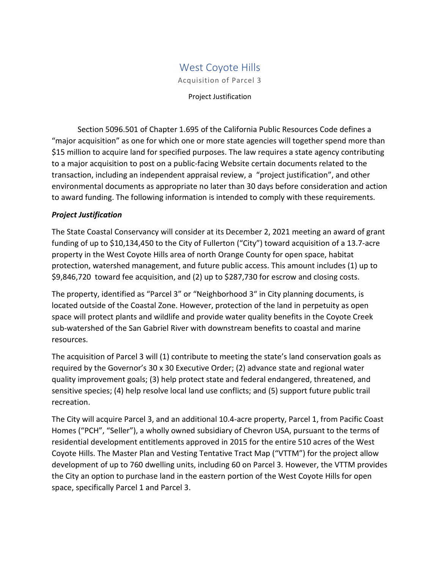## West Coyote Hills

Acquisition of Parcel 3

Project Justification

Section 5096.501 of Chapter 1.695 of the California Public Resources Code defines a "major acquisition" as one for which one or more state agencies will together spend more than \$15 million to acquire land for specified purposes. The law requires a state agency contributing to a major acquisition to post on a public-facing Website certain documents related to the transaction, including an independent appraisal review, a "project justification", and other environmental documents as appropriate no later than 30 days before consideration and action to award funding. The following information is intended to comply with these requirements.

## *Project Justification*

The State Coastal Conservancy will consider at its December 2, 2021 meeting an award of grant funding of up to \$10,134,450 to the City of Fullerton ("City") toward acquisition of a 13.7-acre property in the West Coyote Hills area of north Orange County for open space, habitat protection, watershed management, and future public access. This amount includes (1) up to \$9,846,720 toward fee acquisition, and (2) up to \$287,730 for escrow and closing costs.

The property, identified as "Parcel 3" or "Neighborhood 3" in City planning documents, is located outside of the Coastal Zone. However, protection of the land in perpetuity as open space will protect plants and wildlife and provide water quality benefits in the Coyote Creek sub-watershed of the San Gabriel River with downstream benefits to coastal and marine resources.

The acquisition of Parcel 3 will (1) contribute to meeting the state's land conservation goals as required by the Governor's 30 x 30 Executive Order; (2) advance state and regional water quality improvement goals; (3) help protect state and federal endangered, threatened, and sensitive species; (4) help resolve local land use conflicts; and (5) support future public trail recreation.

The City will acquire Parcel 3, and an additional 10.4-acre property, Parcel 1, from Pacific Coast Homes ("PCH", "Seller"), a wholly owned subsidiary of Chevron USA, pursuant to the terms of residential development entitlements approved in 2015 for the entire 510 acres of the West Coyote Hills. The Master Plan and Vesting Tentative Tract Map ("VTTM") for the project allow development of up to 760 dwelling units, including 60 on Parcel 3. However, the VTTM provides the City an option to purchase land in the eastern portion of the West Coyote Hills for open space, specifically Parcel 1 and Parcel 3.